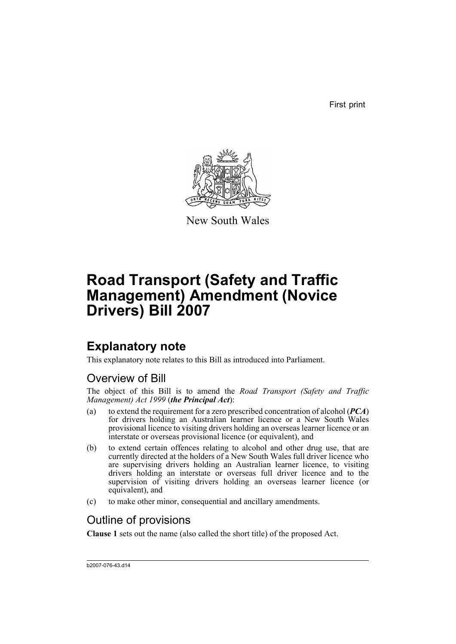First print



New South Wales

# **Road Transport (Safety and Traffic Management) Amendment (Novice Drivers) Bill 2007**

# **Explanatory note**

This explanatory note relates to this Bill as introduced into Parliament.

## Overview of Bill

The object of this Bill is to amend the *Road Transport (Safety and Traffic Management) Act 1999* (*the Principal Act*):

- (a) to extend the requirement for a zero prescribed concentration of alcohol (*PCA*) for drivers holding an Australian learner licence or a New South Wales provisional licence to visiting drivers holding an overseas learner licence or an interstate or overseas provisional licence (or equivalent), and
- (b) to extend certain offences relating to alcohol and other drug use, that are currently directed at the holders of a New South Wales full driver licence who are supervising drivers holding an Australian learner licence, to visiting drivers holding an interstate or overseas full driver licence and to the supervision of visiting drivers holding an overseas learner licence (or equivalent), and
- (c) to make other minor, consequential and ancillary amendments.

## Outline of provisions

**Clause 1** sets out the name (also called the short title) of the proposed Act.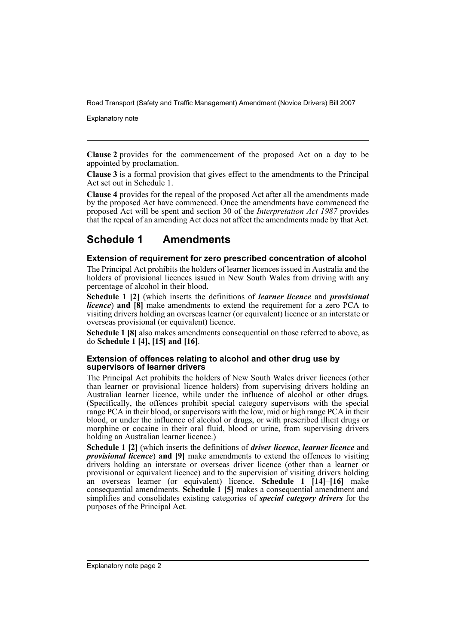Explanatory note

**Clause 2** provides for the commencement of the proposed Act on a day to be appointed by proclamation.

**Clause 3** is a formal provision that gives effect to the amendments to the Principal Act set out in Schedule 1.

**Clause 4** provides for the repeal of the proposed Act after all the amendments made by the proposed Act have commenced. Once the amendments have commenced the proposed Act will be spent and section 30 of the *Interpretation Act 1987* provides that the repeal of an amending Act does not affect the amendments made by that Act.

### **Schedule 1 Amendments**

### **Extension of requirement for zero prescribed concentration of alcohol**

The Principal Act prohibits the holders of learner licences issued in Australia and the holders of provisional licences issued in New South Wales from driving with any percentage of alcohol in their blood.

**Schedule 1 [2]** (which inserts the definitions of *learner licence* and *provisional licence*) and [8] make amendments to extend the requirement for a zero PCA to visiting drivers holding an overseas learner (or equivalent) licence or an interstate or overseas provisional (or equivalent) licence.

**Schedule 1 [8]** also makes amendments consequential on those referred to above, as do **Schedule 1 [4], [15] and [16]**.

### **Extension of offences relating to alcohol and other drug use by supervisors of learner drivers**

The Principal Act prohibits the holders of New South Wales driver licences (other than learner or provisional licence holders) from supervising drivers holding an Australian learner licence, while under the influence of alcohol or other drugs. (Specifically, the offences prohibit special category supervisors with the special range PCA in their blood, or supervisors with the low, mid or high range PCA in their blood, or under the influence of alcohol or drugs, or with prescribed illicit drugs or morphine or cocaine in their oral fluid, blood or urine, from supervising drivers holding an Australian learner licence.)

**Schedule 1 [2]** (which inserts the definitions of *driver licence*, *learner licence* and *provisional licence*) **and [9]** make amendments to extend the offences to visiting drivers holding an interstate or overseas driver licence (other than a learner or provisional or equivalent licence) and to the supervision of visiting drivers holding an overseas learner (or equivalent) licence. **Schedule 1 [14]–[16]** make consequential amendments. **Schedule 1 [5]** makes a consequential amendment and simplifies and consolidates existing categories of *special category drivers* for the purposes of the Principal Act.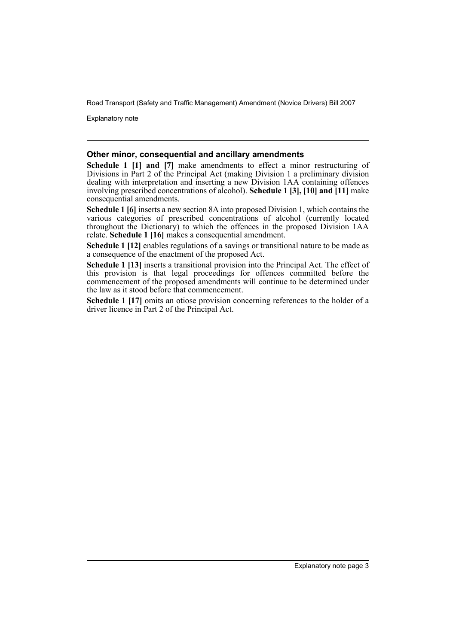Explanatory note

#### **Other minor, consequential and ancillary amendments**

**Schedule 1 [1] and [7]** make amendments to effect a minor restructuring of Divisions in Part 2 of the Principal Act (making Division 1 a preliminary division dealing with interpretation and inserting a new Division 1AA containing offences involving prescribed concentrations of alcohol). **Schedule 1 [3], [10] and [11]** make consequential amendments.

**Schedule 1 [6]** inserts a new section 8A into proposed Division 1, which contains the various categories of prescribed concentrations of alcohol (currently located throughout the Dictionary) to which the offences in the proposed Division 1AA relate. **Schedule 1 [16]** makes a consequential amendment.

**Schedule 1 [12]** enables regulations of a savings or transitional nature to be made as a consequence of the enactment of the proposed Act.

**Schedule 1 [13]** inserts a transitional provision into the Principal Act. The effect of this provision is that legal proceedings for offences committed before the commencement of the proposed amendments will continue to be determined under the law as it stood before that commencement.

**Schedule 1 [17]** omits an otiose provision concerning references to the holder of a driver licence in Part 2 of the Principal Act.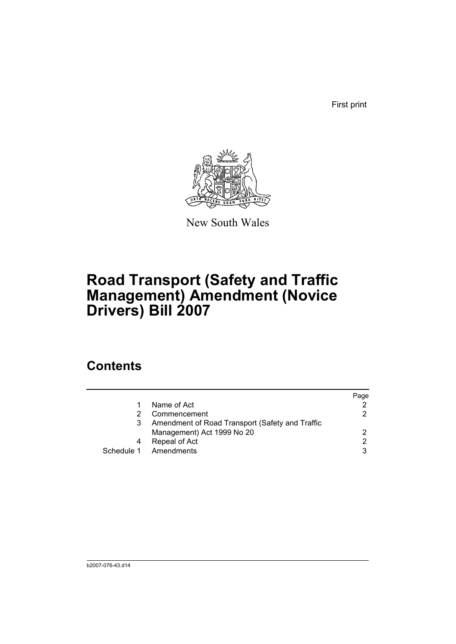First print



New South Wales

# **Road Transport (Safety and Traffic Management) Amendment (Novice Drivers) Bill 2007**

## **Contents**

|                                                 | Page          |
|-------------------------------------------------|---------------|
| Name of Act                                     |               |
| Commencement                                    | 2             |
| Amendment of Road Transport (Safety and Traffic |               |
| Management) Act 1999 No 20                      | 2             |
| Repeal of Act                                   | $\mathcal{P}$ |
| Schedule 1 Amendments                           | 3             |
|                                                 |               |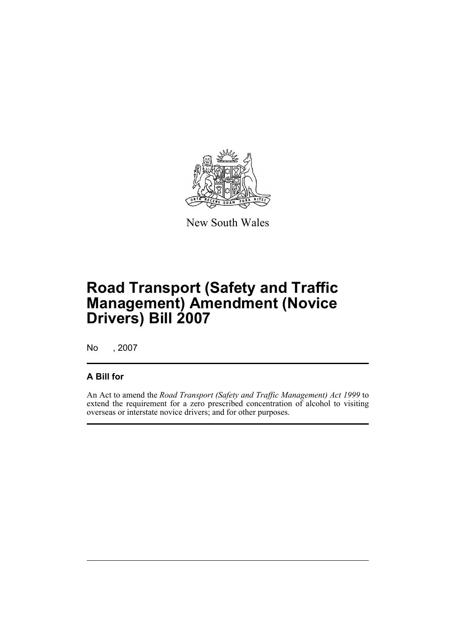

New South Wales

# **Road Transport (Safety and Traffic Management) Amendment (Novice Drivers) Bill 2007**

No , 2007

### **A Bill for**

An Act to amend the *Road Transport (Safety and Traffic Management) Act 1999* to extend the requirement for a zero prescribed concentration of alcohol to visiting overseas or interstate novice drivers; and for other purposes.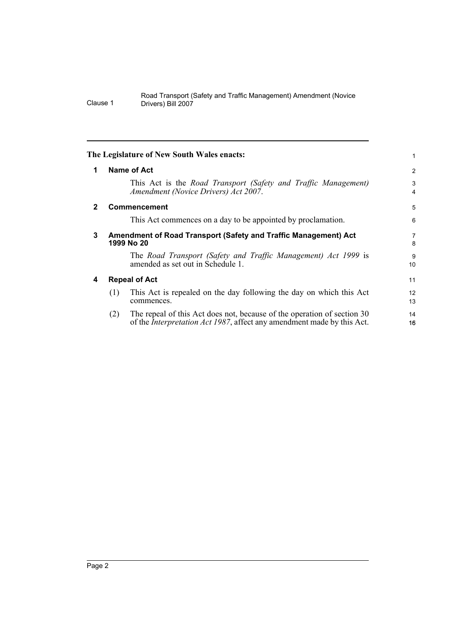<span id="page-7-3"></span><span id="page-7-2"></span><span id="page-7-1"></span><span id="page-7-0"></span>

| 1            |     | <b>Name of Act</b>                                                                                                                                        | $\overline{2}$ |
|--------------|-----|-----------------------------------------------------------------------------------------------------------------------------------------------------------|----------------|
|              |     | This Act is the Road Transport (Safety and Traffic Management)<br>Amendment (Novice Drivers) Act 2007.                                                    | 3<br>4         |
| $\mathbf{2}$ |     | <b>Commencement</b>                                                                                                                                       | 5              |
|              |     | This Act commences on a day to be appointed by proclamation.                                                                                              | 6              |
| 3            |     | Amendment of Road Transport (Safety and Traffic Management) Act<br>1999 No 20                                                                             | 7<br>8         |
|              |     | The Road Transport (Safety and Traffic Management) Act 1999 is<br>amended as set out in Schedule 1.                                                       | 9<br>10        |
| 4            |     | <b>Repeal of Act</b>                                                                                                                                      | 11             |
|              | (1) | This Act is repealed on the day following the day on which this Act<br>commences.                                                                         | 12<br>13       |
|              | (2) | The repeal of this Act does not, because of the operation of section 30<br>of the <i>Interpretation Act 1987</i> , affect any amendment made by this Act. | 14<br>16       |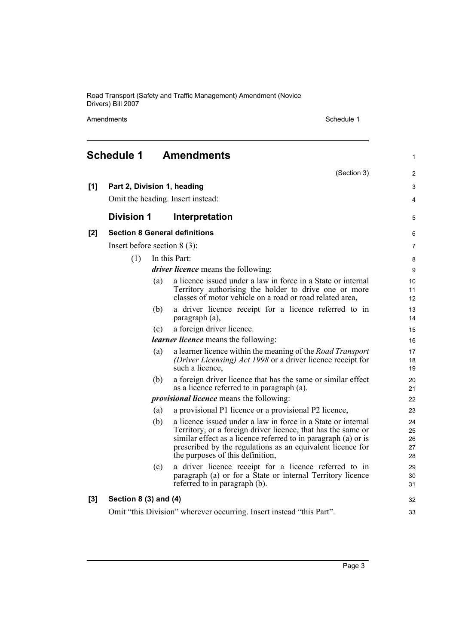Amendments Schedule 1

<span id="page-8-0"></span>

|       | <b>Schedule 1</b>              |     | <b>Amendments</b>                                                                                                                                                                                                                                                                                | 1                          |
|-------|--------------------------------|-----|--------------------------------------------------------------------------------------------------------------------------------------------------------------------------------------------------------------------------------------------------------------------------------------------------|----------------------------|
|       |                                |     | (Section 3)                                                                                                                                                                                                                                                                                      | $\overline{2}$             |
| [1]   | Part 2, Division 1, heading    |     |                                                                                                                                                                                                                                                                                                  | 3                          |
|       |                                |     | Omit the heading. Insert instead:                                                                                                                                                                                                                                                                | 4                          |
|       | <b>Division 1</b>              |     | Interpretation                                                                                                                                                                                                                                                                                   | 5                          |
| $[2]$ |                                |     | <b>Section 8 General definitions</b>                                                                                                                                                                                                                                                             | 6                          |
|       | Insert before section $8(3)$ : |     |                                                                                                                                                                                                                                                                                                  | 7                          |
|       | (1)                            |     | In this Part:                                                                                                                                                                                                                                                                                    | 8                          |
|       |                                |     | <i>driver licence</i> means the following:                                                                                                                                                                                                                                                       | 9                          |
|       |                                | (a) | a licence issued under a law in force in a State or internal<br>Territory authorising the holder to drive one or more<br>classes of motor vehicle on a road or road related area,                                                                                                                | 10<br>11<br>12             |
|       |                                | (b) | a driver licence receipt for a licence referred to in<br>paragraph (a),                                                                                                                                                                                                                          | 13<br>14                   |
|       |                                | (c) | a foreign driver licence.                                                                                                                                                                                                                                                                        | 15                         |
|       |                                |     | <i>learner licence</i> means the following:                                                                                                                                                                                                                                                      | 16                         |
|       |                                | (a) | a learner licence within the meaning of the <i>Road Transport</i><br>(Driver Licensing) Act 1998 or a driver licence receipt for<br>such a licence,                                                                                                                                              | 17<br>18<br>19             |
|       |                                | (b) | a foreign driver licence that has the same or similar effect<br>as a licence referred to in paragraph (a).                                                                                                                                                                                       | 20<br>21                   |
|       |                                |     | <i>provisional licence</i> means the following:                                                                                                                                                                                                                                                  | 22                         |
|       |                                | (a) | a provisional P1 licence or a provisional P2 licence,                                                                                                                                                                                                                                            | 23                         |
|       |                                | (b) | a licence issued under a law in force in a State or internal<br>Territory, or a foreign driver licence, that has the same or<br>similar effect as a licence referred to in paragraph (a) or is<br>prescribed by the regulations as an equivalent licence for<br>the purposes of this definition, | 24<br>25<br>26<br>27<br>28 |
|       |                                | (c) | a driver licence receipt for a licence referred to in<br>paragraph (a) or for a State or internal Territory licence<br>referred to in paragraph (b).                                                                                                                                             | 29<br>30<br>31             |
| $[3]$ | Section $8(3)$ and $(4)$       |     |                                                                                                                                                                                                                                                                                                  | 32                         |
|       |                                |     | Omit "this Division" wherever occurring. Insert instead "this Part".                                                                                                                                                                                                                             | 33                         |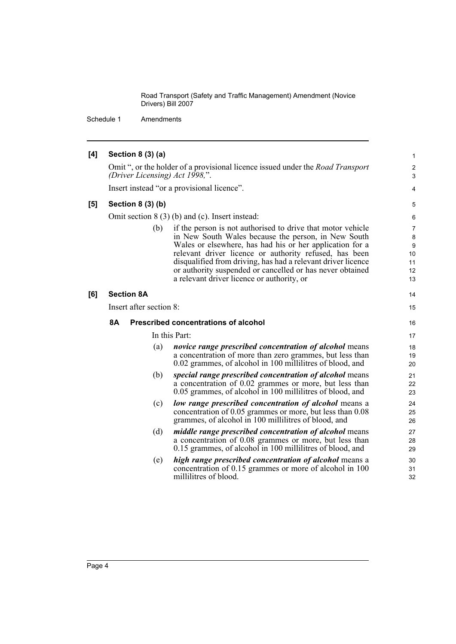Schedule 1 Amendments

| [4] | Section 8 (3) (a)                                                                                                                                                                                                                                                                                                                                                                                                          | $\mathbf{1}$                        |  |  |
|-----|----------------------------------------------------------------------------------------------------------------------------------------------------------------------------------------------------------------------------------------------------------------------------------------------------------------------------------------------------------------------------------------------------------------------------|-------------------------------------|--|--|
|     | Omit ", or the holder of a provisional licence issued under the <i>Road Transport</i><br>(Driver Licensing) Act 1998,".                                                                                                                                                                                                                                                                                                    | $\overline{c}$<br>3                 |  |  |
|     | Insert instead "or a provisional licence".                                                                                                                                                                                                                                                                                                                                                                                 | 4                                   |  |  |
| [5] | Section 8 (3) (b)                                                                                                                                                                                                                                                                                                                                                                                                          | 5                                   |  |  |
|     | Omit section $8(3)$ (b) and (c). Insert instead:                                                                                                                                                                                                                                                                                                                                                                           |                                     |  |  |
|     | (b)<br>if the person is not authorised to drive that motor vehicle<br>in New South Wales because the person, in New South<br>Wales or elsewhere, has had his or her application for a<br>relevant driver licence or authority refused, has been<br>disqualified from driving, has had a relevant driver licence<br>or authority suspended or cancelled or has never obtained<br>a relevant driver licence or authority, or | 7<br>8<br>9<br>10<br>11<br>12<br>13 |  |  |
| [6] | <b>Section 8A</b>                                                                                                                                                                                                                                                                                                                                                                                                          | 14                                  |  |  |
|     | Insert after section 8:                                                                                                                                                                                                                                                                                                                                                                                                    |                                     |  |  |
|     | Prescribed concentrations of alcohol<br>8Α                                                                                                                                                                                                                                                                                                                                                                                 | 16                                  |  |  |
|     | In this Part:                                                                                                                                                                                                                                                                                                                                                                                                              | 17                                  |  |  |
|     | (a)<br>novice range prescribed concentration of alcohol means<br>a concentration of more than zero grammes, but less than<br>0.02 grammes, of alcohol in 100 millilitres of blood, and                                                                                                                                                                                                                                     | 18<br>19<br>20                      |  |  |
|     | special range prescribed concentration of alcohol means<br>(b)<br>a concentration of 0.02 grammes or more, but less than<br>0.05 grammes, of alcohol in 100 millilitres of blood, and                                                                                                                                                                                                                                      | 21<br>22<br>23                      |  |  |
|     | low range prescribed concentration of alcohol means a<br>(c)<br>concentration of 0.05 grammes or more, but less than 0.08<br>grammes, of alcohol in 100 millilitres of blood, and                                                                                                                                                                                                                                          | 24<br>25<br>26                      |  |  |
|     | (d)<br><i>middle range prescribed concentration of alcohol</i> means<br>a concentration of 0.08 grammes or more, but less than<br>0.15 grammes, of alcohol in 100 millilitres of blood, and                                                                                                                                                                                                                                | 27<br>28<br>29                      |  |  |
|     | high range prescribed concentration of alcohol means a<br>(e)<br>concentration of 0.15 grammes or more of alcohol in 100<br>millilitres of blood.                                                                                                                                                                                                                                                                          | 30<br>31<br>32                      |  |  |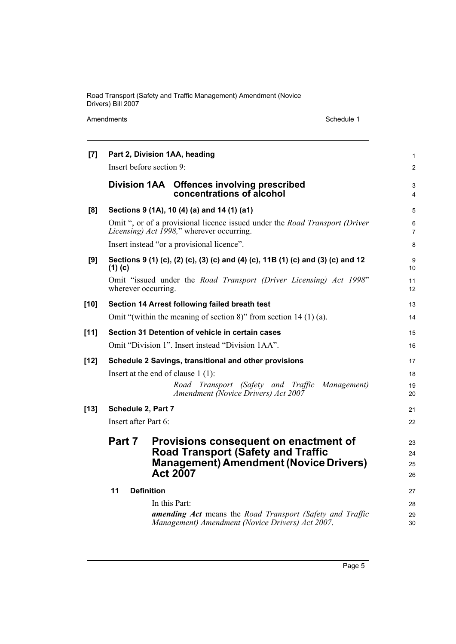Amendments Schedule 1

| $[7]$  | Part 2, Division 1AA, heading<br>Insert before section 9:                                                                                                        | 1<br>$\overline{2}$  |  |  |
|--------|------------------------------------------------------------------------------------------------------------------------------------------------------------------|----------------------|--|--|
|        | Division 1AA Offences involving prescribed<br>concentrations of alcohol                                                                                          | 3<br>4               |  |  |
| [8]    | Sections 9 (1A), 10 (4) (a) and 14 (1) (a1)                                                                                                                      | 5                    |  |  |
|        | Omit ", or of a provisional licence issued under the <i>Road Transport (Driver</i><br><i>Licensing) Act 1998,</i> " wherever occurring.                          | 6<br>7               |  |  |
|        | Insert instead "or a provisional licence".                                                                                                                       |                      |  |  |
| [9]    | Sections 9 (1) (c), (2) (c), (3) (c) and (4) (c), 11B (1) (c) and (3) (c) and 12<br>$(1)$ (c)                                                                    |                      |  |  |
|        | Omit "issued under the Road Transport (Driver Licensing) Act 1998"<br>wherever occurring.                                                                        | 11<br>12             |  |  |
| $[10]$ | Section 14 Arrest following failed breath test                                                                                                                   | 13                   |  |  |
|        | Omit "(within the meaning of section 8)" from section 14 (1) (a).                                                                                                |                      |  |  |
| $[11]$ | Section 31 Detention of vehicle in certain cases                                                                                                                 | 15                   |  |  |
|        | Omit "Division 1". Insert instead "Division 1AA".                                                                                                                |                      |  |  |
| $[12]$ | Schedule 2 Savings, transitional and other provisions                                                                                                            | 17                   |  |  |
|        | Insert at the end of clause $1(1)$ :                                                                                                                             |                      |  |  |
|        | Road Transport (Safety and Traffic<br>Management)<br>Amendment (Novice Drivers) Act 2007                                                                         | 19<br>20             |  |  |
| $[13]$ | Schedule 2, Part 7                                                                                                                                               | 21                   |  |  |
|        | Insert after Part 6:                                                                                                                                             | 22                   |  |  |
|        | Part 7<br>Provisions consequent on enactment of<br><b>Road Transport (Safety and Traffic</b><br><b>Management) Amendment (Novice Drivers)</b><br><b>Act 2007</b> | 23<br>24<br>25<br>26 |  |  |
|        | 11<br><b>Definition</b>                                                                                                                                          |                      |  |  |
|        | In this Part:                                                                                                                                                    | 28                   |  |  |
|        | <b>amending Act</b> means the Road Transport (Safety and Traffic<br>Management) Amendment (Novice Drivers) Act 2007.                                             | 29<br>30             |  |  |

Page 5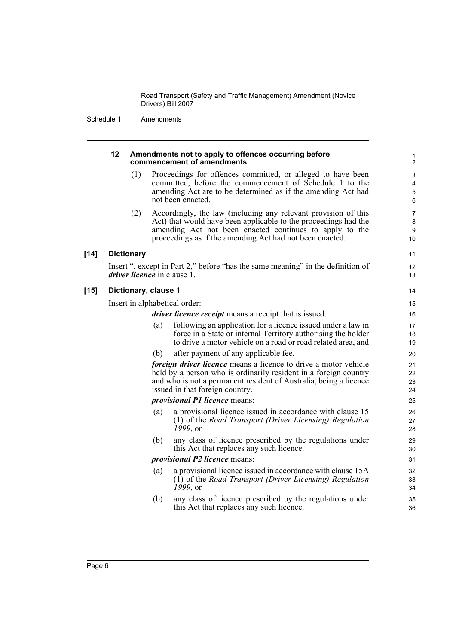Schedule 1 Amendments

|        | 12                                   |                   |     | Amendments not to apply to offences occurring before<br>commencement of amendments                                                                                                                                                                       | 1<br>$\overline{\mathbf{c}}$ |
|--------|--------------------------------------|-------------------|-----|----------------------------------------------------------------------------------------------------------------------------------------------------------------------------------------------------------------------------------------------------------|------------------------------|
|        |                                      | (1)               |     | Proceedings for offences committed, or alleged to have been<br>committed, before the commencement of Schedule 1 to the<br>amending Act are to be determined as if the amending Act had<br>not been enacted.                                              | 3<br>4<br>5<br>6             |
|        |                                      | (2)               |     | Accordingly, the law (including any relevant provision of this<br>Act) that would have been applicable to the proceedings had the<br>amending Act not been enacted continues to apply to the<br>proceedings as if the amending Act had not been enacted. | 7<br>8<br>9<br>10            |
| $[14]$ |                                      | <b>Dictionary</b> |     |                                                                                                                                                                                                                                                          | 11                           |
|        |                                      |                   |     | Insert ", except in Part 2," before "has the same meaning" in the definition of<br><i>driver licence</i> in clause 1.                                                                                                                                    | 12<br>13                     |
| $[15]$ | Dictionary, clause 1                 |                   |     |                                                                                                                                                                                                                                                          |                              |
|        | Insert in alphabetical order:        |                   |     |                                                                                                                                                                                                                                                          |                              |
|        |                                      |                   |     | <i>driver licence receipt</i> means a receipt that is issued:                                                                                                                                                                                            | 16                           |
|        |                                      |                   | (a) | following an application for a licence issued under a law in<br>force in a State or internal Territory authorising the holder<br>to drive a motor vehicle on a road or road related area, and                                                            | 17<br>18<br>19               |
|        |                                      |                   | (b) | after payment of any applicable fee.                                                                                                                                                                                                                     | 20                           |
|        |                                      |                   |     | <i>foreign driver licence</i> means a licence to drive a motor vehicle<br>held by a person who is ordinarily resident in a foreign country<br>and who is not a permanent resident of Australia, being a licence<br>issued in that foreign country.       | 21<br>22<br>23<br>24         |
|        |                                      |                   |     | <i>provisional P1 licence means:</i>                                                                                                                                                                                                                     | 25                           |
|        |                                      |                   | (a) | a provisional licence issued in accordance with clause 15<br>(1) of the Road Transport (Driver Licensing) Regulation<br>$1999,$ or                                                                                                                       | 26<br>27<br>28               |
|        |                                      |                   | (b) | any class of licence prescribed by the regulations under<br>this Act that replaces any such licence.                                                                                                                                                     | 29<br>30                     |
|        | <i>provisional P2 licence means:</i> |                   |     |                                                                                                                                                                                                                                                          | 31                           |
|        |                                      |                   | (a) | a provisional licence issued in accordance with clause 15A<br>$(1)$ of the <i>Road Transport (Driver Licensing) Regulation</i><br>$1999,$ or                                                                                                             | 32<br>33<br>34               |
|        |                                      |                   | (b) | any class of licence prescribed by the regulations under<br>this Act that replaces any such licence.                                                                                                                                                     | 35<br>36                     |